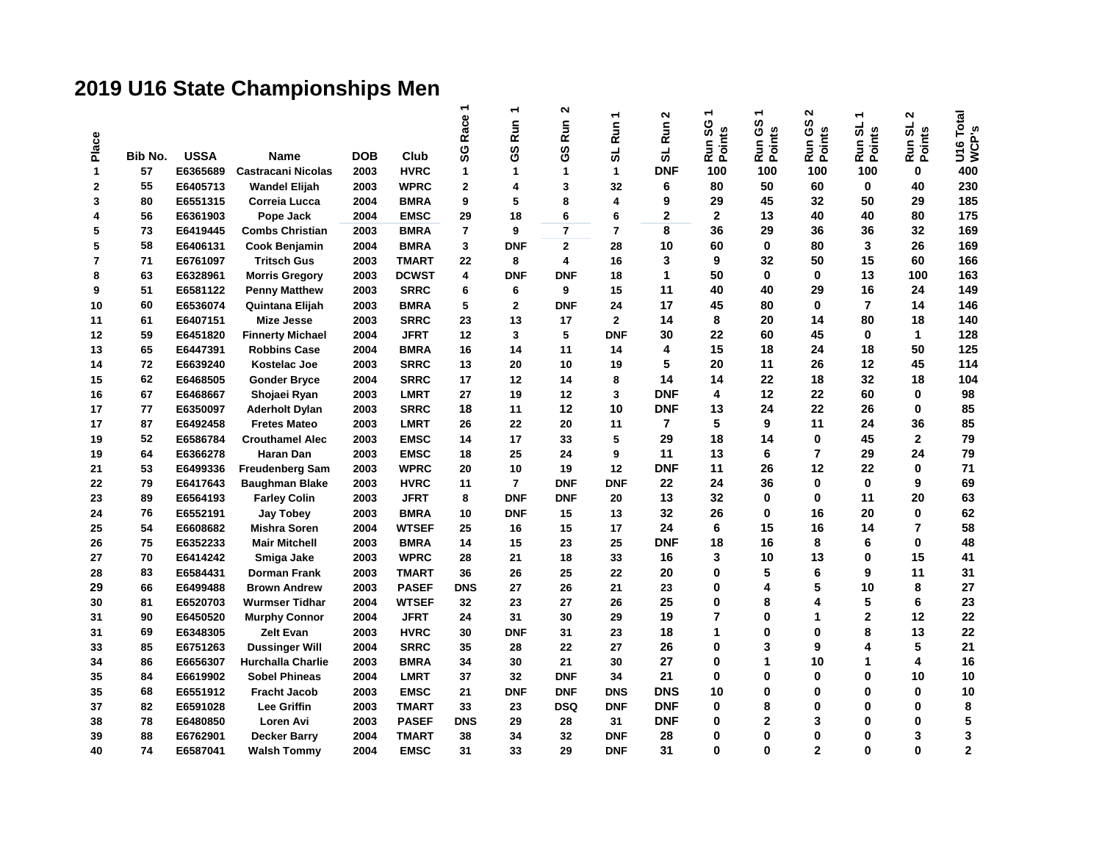## **2019 U16 State Championships Men**

| Place        | Bib No. | <b>USSA</b> | <b>Name</b>              | <b>DOB</b> | Club         | Race<br>SG     | —<br><b>Run</b><br><b>ပိ</b> | $\boldsymbol{\sim}$<br>Run<br><b>့</b> | ٠<br>Run <sup>-</sup><br>ಠ | N<br>Run<br>ಠ  | ↽<br>Run SG<br>Points | Run GS<br>Points | $\sim$<br>ვე<br>Run GS<br>Points | Run SL<br>Points | ຶ<br>Run SL<br>Points | U16 Total<br>WCP's |
|--------------|---------|-------------|--------------------------|------------|--------------|----------------|------------------------------|----------------------------------------|----------------------------|----------------|-----------------------|------------------|----------------------------------|------------------|-----------------------|--------------------|
| $\mathbf{1}$ | 57      | E6365689    | Castracani Nicolas       | 2003       | <b>HVRC</b>  | 1              | $\mathbf{1}$                 | 1                                      | $\mathbf{1}$               | <b>DNF</b>     | 100                   | 100              | 100                              | 100              | $\mathbf 0$           | 400                |
| $\mathbf{2}$ | 55      | E6405713    | <b>Wandel Elijah</b>     | 2003       | <b>WPRC</b>  | $\mathbf 2$    | 4                            | 3                                      | 32                         | 6              | 80                    | 50               | 60                               | 0                | 40                    | 230                |
| 3            | 80      | E6551315    | Correia Lucca            | 2004       | <b>BMRA</b>  | 9              | 5                            | 8                                      | $\overline{\mathbf{4}}$    | 9              | 29                    | 45               | 32                               | 50               | 29                    | 185                |
| 4            | 56      | E6361903    | Pope Jack                | 2004       | <b>EMSC</b>  | 29             | 18                           | 6                                      | 6                          | $\overline{2}$ | $\overline{2}$        | 13               | 40                               | 40               | 80                    | 175                |
| 5            | 73      | E6419445    | <b>Combs Christian</b>   | 2003       | <b>BMRA</b>  | $\overline{7}$ | 9                            | $\overline{7}$                         | $\overline{7}$             | 8              | 36                    | 29               | 36                               | 36               | 32                    | 169                |
| 5            | 58      | E6406131    | Cook Benjamin            | 2004       | <b>BMRA</b>  | 3              | <b>DNF</b>                   | $\mathbf 2$                            | 28                         | 10             | 60                    | $\bf{0}$         | 80                               | 3                | 26                    | 169                |
| 7            | 71      | E6761097    | <b>Tritsch Gus</b>       | 2003       | <b>TMART</b> | 22             | 8                            | 4                                      | 16                         | 3              | 9                     | 32               | 50                               | 15               | 60                    | 166                |
| 8            | 63      | E6328961    | <b>Morris Gregory</b>    | 2003       | <b>DCWST</b> | 4              | <b>DNF</b>                   | <b>DNF</b>                             | 18                         | 1              | 50                    | $\bf{0}$         | 0                                | 13               | 100                   | 163                |
| 9            | 51      | E6581122    | <b>Penny Matthew</b>     | 2003       | <b>SRRC</b>  | 6              | 6                            | 9                                      | 15                         | 11             | 40                    | 40               | 29                               | 16               | 24                    | 149                |
| 10           | 60      | E6536074    | Quintana Elijah          | 2003       | <b>BMRA</b>  | 5              | $\mathbf{2}$                 | <b>DNF</b>                             | 24                         | 17             | 45                    | 80               | $\bf{0}$                         | $\overline{ }$   | 14                    | 146                |
| 11           | 61      | E6407151    | <b>Mize Jesse</b>        | 2003       | <b>SRRC</b>  | 23             | 13                           | 17                                     | $\mathbf{2}$               | 14             | 8                     | 20               | 14                               | 80               | 18                    | 140                |
| 12           | 59      | E6451820    | <b>Finnerty Michael</b>  | 2004       | <b>JFRT</b>  | 12             | 3                            | 5                                      | <b>DNF</b>                 | 30             | 22                    | 60               | 45                               | 0                | $\mathbf{1}$          | 128                |
| 13           | 65      | E6447391    | <b>Robbins Case</b>      | 2004       | <b>BMRA</b>  | 16             | 14                           | 11                                     | 14                         | 4              | 15                    | 18               | 24                               | 18               | 50                    | 125                |
| 14           | 72      | E6639240    | Kostelac Joe             | 2003       | <b>SRRC</b>  | 13             | 20                           | 10                                     | 19                         | 5              | 20                    | 11               | 26                               | 12               | 45                    | 114                |
| 15           | 62      | E6468505    | <b>Gonder Bryce</b>      | 2004       | <b>SRRC</b>  | 17             | 12                           | 14                                     | 8                          | 14             | 14                    | 22               | 18                               | 32               | 18                    | 104                |
| 16           | 67      | E6468667    | Shojaei Ryan             | 2003       | <b>LMRT</b>  | 27             | 19                           | 12                                     | 3                          | <b>DNF</b>     | 4                     | 12               | 22                               | 60               | $\bf{0}$              | 98                 |
| 17           | 77      | E6350097    | <b>Aderholt Dylan</b>    | 2003       | <b>SRRC</b>  | 18             | 11                           | 12                                     | 10                         | <b>DNF</b>     | 13                    | 24               | 22                               | 26               | $\bf{0}$              | 85                 |
| 17           | 87      | E6492458    | <b>Fretes Mateo</b>      | 2003       | <b>LMRT</b>  | 26             | 22                           | 20                                     | 11                         | $\overline{7}$ | 5                     | 9                | 11                               | 24               | 36                    | 85                 |
| 19           | 52      | E6586784    | <b>Crouthamel Alec</b>   | 2003       | <b>EMSC</b>  | 14             | 17                           | 33                                     | 5                          | 29             | 18                    | 14               | 0                                | 45               | $\mathbf{2}$          | 79                 |
| 19           | 64      | E6366278    | <b>Haran Dan</b>         | 2003       | <b>EMSC</b>  | 18             | 25                           | 24                                     | 9                          | 11             | 13                    | 6                | $\overline{7}$                   | 29               | 24                    | 79                 |
| 21           | 53      | E6499336    | <b>Freudenberg Sam</b>   | 2003       | <b>WPRC</b>  | 20             | 10                           | 19                                     | 12                         | <b>DNF</b>     | 11                    | 26               | 12                               | 22               | $\mathbf{0}$          | 71                 |
| 22           | 79      | E6417643    | <b>Baughman Blake</b>    | 2003       | <b>HVRC</b>  | 11             | $\overline{7}$               | <b>DNF</b>                             | <b>DNF</b>                 | 22             | 24                    | 36               | 0                                | $\bf{0}$         | 9                     | 69                 |
| 23           | 89      | E6564193    | <b>Farley Colin</b>      | 2003       | <b>JFRT</b>  | 8              | <b>DNF</b>                   | <b>DNF</b>                             | 20                         | 13             | 32                    | $\bf{0}$         | 0                                | 11               | 20                    | 63                 |
| 24           | 76      | E6552191    | Jay Tobey                | 2003       | <b>BMRA</b>  | 10             | <b>DNF</b>                   | 15                                     | 13                         | 32             | 26                    | $\bf{0}$         | 16                               | 20               | $\bf{0}$              | 62                 |
| 25           | 54      | E6608682    | <b>Mishra Soren</b>      | 2004       | <b>WTSEF</b> | 25             | 16                           | 15                                     | 17                         | 24             | 6                     | 15               | 16                               | 14               | $\overline{7}$        | 58                 |
| 26           | 75      | E6352233    | <b>Mair Mitchell</b>     | 2003       | <b>BMRA</b>  | 14             | 15                           | 23                                     | 25                         | <b>DNF</b>     | 18                    | 16               | 8                                | 6                | $\bf{0}$              | 48                 |
| 27           | 70      | E6414242    | Smiga Jake               | 2003       | <b>WPRC</b>  | 28             | 21                           | 18                                     | 33                         | 16             | 3                     | 10               | 13                               | 0                | 15                    | 41                 |
| 28           | 83      | E6584431    | Dorman Frank             | 2003       | <b>TMART</b> | 36             | 26                           | 25                                     | 22                         | 20             | 0                     | 5                | 6                                | 9                | 11                    | 31                 |
| 29           | 66      | E6499488    | <b>Brown Andrew</b>      | 2003       | <b>PASEF</b> | <b>DNS</b>     | 27                           | 26                                     | 21                         | 23             | 0                     | 4                | 5                                | 10               | 8                     | 27                 |
| 30           | 81      | E6520703    | <b>Wurmser Tidhar</b>    | 2004       | <b>WTSEF</b> | 32             | 23                           | 27                                     | 26                         | 25             | 0                     | 8                | 4                                | 5                | 6                     | 23                 |
| 31           | 90      | E6450520    | <b>Murphy Connor</b>     | 2004       | <b>JFRT</b>  | 24             | 31                           | 30                                     | 29                         | 19             | $\overline{7}$        | 0                | 1                                | $\overline{2}$   | 12                    | 22                 |
| 31           | 69      | E6348305    | Zelt Evan                | 2003       | <b>HVRC</b>  | 30             | <b>DNF</b>                   | 31                                     | 23                         | 18             | 1                     | 0                | 0                                | 8                | 13                    | 22                 |
| 33           | 85      | E6751263    | <b>Dussinger Will</b>    | 2004       | <b>SRRC</b>  | 35             | 28                           | 22                                     | 27                         | 26             | 0                     | 3                | 9                                | 4                | 5                     | 21                 |
| 34           | 86      | E6656307    | <b>Hurchalla Charlie</b> | 2003       | <b>BMRA</b>  | 34             | 30                           | 21                                     | 30                         | 27             | 0                     | 1                | 10                               | 1                | 4                     | 16                 |
| 35           | 84      | E6619902    | <b>Sobel Phineas</b>     | 2004       | <b>LMRT</b>  | 37             | 32                           | <b>DNF</b>                             | 34                         | 21             | 0                     | $\bf{0}$         | 0                                | 0                | 10                    | 10                 |
| 35           | 68      | E6551912    | <b>Fracht Jacob</b>      | 2003       | <b>EMSC</b>  | 21             | <b>DNF</b>                   | <b>DNF</b>                             | <b>DNS</b>                 | <b>DNS</b>     | 10                    | $\bf{0}$         | 0                                | 0                | $\bf{0}$              | $10$               |
| 37           | 82      | E6591028    | <b>Lee Griffin</b>       | 2003       | <b>TMART</b> | 33             | 23                           | <b>DSQ</b>                             | <b>DNF</b>                 | <b>DNF</b>     | 0                     | 8                | 0                                | 0                | $\bf{0}$              | 8                  |
| 38           | 78      | E6480850    | Loren Avi                | 2003       | <b>PASEF</b> | <b>DNS</b>     | 29                           | 28                                     | 31                         | <b>DNF</b>     | 0                     | 2                | 3                                | 0                | $\bf{0}$              | 5                  |
| 39           | 88      | E6762901    | Decker Barry             | 2004       | <b>TMART</b> | 38             | 34                           | 32                                     | <b>DNF</b>                 | 28             | 0                     | $\bf{0}$         | 0                                | 0                | 3                     | 3                  |
| 40           | 74      | E6587041    | <b>Walsh Tommy</b>       | 2004       | <b>EMSC</b>  | 31             | 33                           | 29                                     | <b>DNF</b>                 | 31             | 0                     | $\bf{0}$         | $\mathbf{2}$                     | 0                | $\bf{0}$              | $\mathbf 2$        |